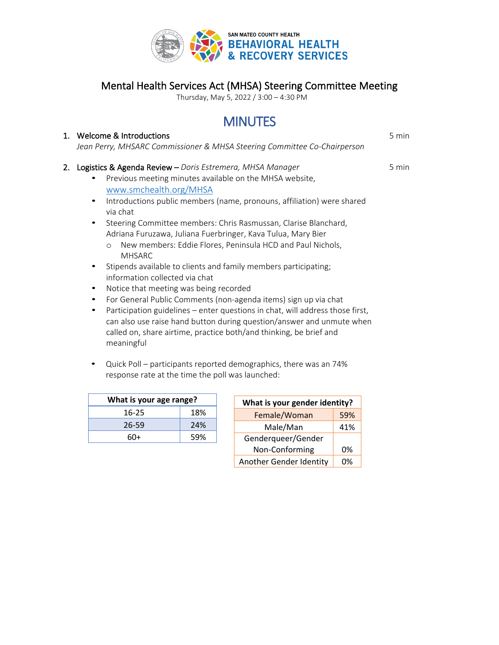

## Mental Health Services Act (MHSA) Steering Committee Meeting

Thursday, May 5, 2022 / 3:00 – 4:30 PM

# **MINUTES**

|    | 1. Welcome & Introductions                                                                                                                                                                                                                                                                                                                                                                                                                                                                                                                                                                                                                                                                                                                                                                                                                                                                                                                                              | 5 min |
|----|-------------------------------------------------------------------------------------------------------------------------------------------------------------------------------------------------------------------------------------------------------------------------------------------------------------------------------------------------------------------------------------------------------------------------------------------------------------------------------------------------------------------------------------------------------------------------------------------------------------------------------------------------------------------------------------------------------------------------------------------------------------------------------------------------------------------------------------------------------------------------------------------------------------------------------------------------------------------------|-------|
|    | Jean Perry, MHSARC Commissioner & MHSA Steering Committee Co-Chairperson                                                                                                                                                                                                                                                                                                                                                                                                                                                                                                                                                                                                                                                                                                                                                                                                                                                                                                |       |
| 2. | Logistics & Agenda Review - Doris Estremera, MHSA Manager<br>Previous meeting minutes available on the MHSA website,<br>www.smchealth.org/MHSA<br>Introductions public members (name, pronouns, affiliation) were shared<br>٠<br>via chat<br>Steering Committee members: Chris Rasmussan, Clarise Blanchard,<br>$\bullet$<br>Adriana Furuzawa, Juliana Fuerbringer, Kava Tulua, Mary Bier<br>New members: Eddie Flores, Peninsula HCD and Paul Nichols,<br>$\circ$<br><b>MHSARC</b><br>Stipends available to clients and family members participating;<br>٠<br>information collected via chat<br>Notice that meeting was being recorded<br>٠<br>For General Public Comments (non-agenda items) sign up via chat<br>٠<br>Participation guidelines – enter questions in chat, will address those first,<br>٠<br>can also use raise hand button during question/answer and unmute when<br>called on, share airtime, practice both/and thinking, be brief and<br>meaningful | 5 min |

• Quick Poll – participants reported demographics, there was an 74% response rate at the time the poll was launched:

| What is your age range? |      |  |
|-------------------------|------|--|
| $16 - 25$               | 18%  |  |
| 26-59                   | 24%  |  |
| 6በ+                     | .59% |  |

| What is your gender identity? |     |  |
|-------------------------------|-----|--|
| Female/Woman                  | 59% |  |
| Male/Man                      | 41% |  |
| Genderqueer/Gender            |     |  |
| Non-Conforming                | 0%  |  |
| Another Gender Identity       | በ%  |  |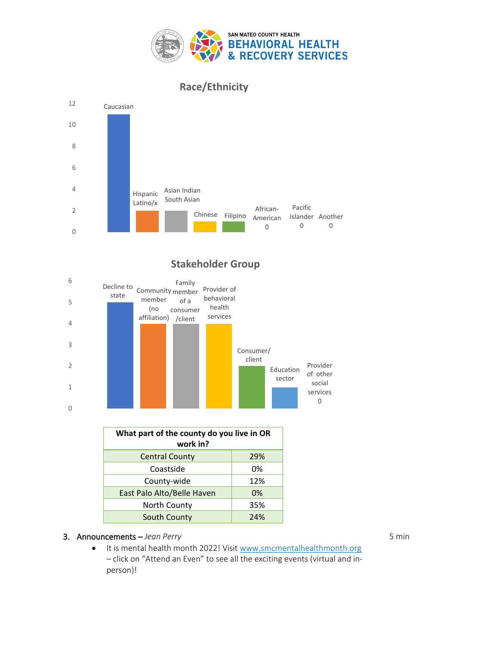

**Race/Ethnicity**



## **Stakeholder Group**



| What part of the county do you live in OR<br>work in? |     |  |
|-------------------------------------------------------|-----|--|
| <b>Central County</b>                                 | 29% |  |
| Coastside                                             | 0%  |  |
| County-wide                                           | 12% |  |
| East Palo Alto/Belle Haven                            | 0%  |  |
| North County                                          | 35% |  |
| South County                                          | 74% |  |

### 3. Announcements – *Jean Perry*

• It is mental health month 2022! Visit [www.smcmentalhealthmonth.org](http://www.smcmentalhealthmonth.org/) – click on "Attend an Even" to see all the exciting events (virtual and inperson)!

5 min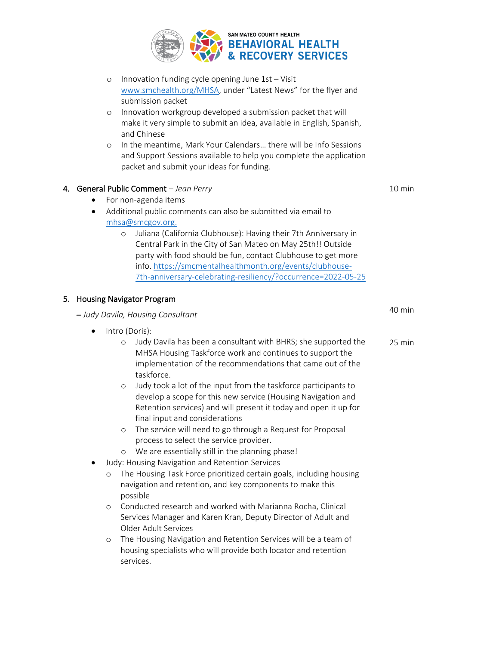

| Innovation funding cycle opening June 1st - Visit<br>$\circ$<br>www.smchealth.org/MHSA, under "Latest News" for the flyer and<br>submission packet<br>Innovation workgroup developed a submission packet that will<br>$\circ$<br>make it very simple to submit an idea, available in English, Spanish,<br>and Chinese                                                                                                                                                                                                                                                                                                                                                                                                                                                                                                                                                                                                                                                                                                                                                                                                                           |                  |
|-------------------------------------------------------------------------------------------------------------------------------------------------------------------------------------------------------------------------------------------------------------------------------------------------------------------------------------------------------------------------------------------------------------------------------------------------------------------------------------------------------------------------------------------------------------------------------------------------------------------------------------------------------------------------------------------------------------------------------------------------------------------------------------------------------------------------------------------------------------------------------------------------------------------------------------------------------------------------------------------------------------------------------------------------------------------------------------------------------------------------------------------------|------------------|
| In the meantime, Mark Your Calendars there will be Info Sessions<br>$\circ$<br>and Support Sessions available to help you complete the application<br>packet and submit your ideas for funding.                                                                                                                                                                                                                                                                                                                                                                                                                                                                                                                                                                                                                                                                                                                                                                                                                                                                                                                                                 |                  |
| 4. General Public Comment - Jean Perry<br>For non-agenda items<br>٠<br>Additional public comments can also be submitted via email to<br>٠<br>mhsa@smcgov.org.<br>Juliana (California Clubhouse): Having their 7th Anniversary in<br>$\circ$<br>Central Park in the City of San Mateo on May 25th!! Outside<br>party with food should be fun, contact Clubhouse to get more<br>info. https://smcmentalhealthmonth.org/events/clubhouse-<br>7th-anniversary-celebrating-resiliency/?occurrence=2022-05-25                                                                                                                                                                                                                                                                                                                                                                                                                                                                                                                                                                                                                                         | 10 min           |
| 5. Housing Navigator Program                                                                                                                                                                                                                                                                                                                                                                                                                                                                                                                                                                                                                                                                                                                                                                                                                                                                                                                                                                                                                                                                                                                    |                  |
| - Judy Davila, Housing Consultant                                                                                                                                                                                                                                                                                                                                                                                                                                                                                                                                                                                                                                                                                                                                                                                                                                                                                                                                                                                                                                                                                                               | 40 min           |
| Intro (Doris):<br>$\bullet$<br>Judy Davila has been a consultant with BHRS; she supported the<br>$\circ$<br>MHSA Housing Taskforce work and continues to support the<br>implementation of the recommendations that came out of the<br>taskforce.<br>Judy took a lot of the input from the taskforce participants to<br>$\circ$<br>develop a scope for this new service (Housing Navigation and<br>Retention services) and will present it today and open it up for<br>final input and considerations<br>The service will need to go through a Request for Proposal<br>O<br>process to select the service provider.<br>We are essentially still in the planning phase!<br>$\circ$<br>Judy: Housing Navigation and Retention Services<br>The Housing Task Force prioritized certain goals, including housing<br>$\circ$<br>navigation and retention, and key components to make this<br>possible<br>Conducted research and worked with Marianna Rocha, Clinical<br>$\circ$<br>Services Manager and Karen Kran, Deputy Director of Adult and<br>Older Adult Services<br>The Housing Navigation and Retention Services will be a team of<br>$\circ$ | $25 \text{ min}$ |
| housing specialists who will provide both locator and retention<br>services.                                                                                                                                                                                                                                                                                                                                                                                                                                                                                                                                                                                                                                                                                                                                                                                                                                                                                                                                                                                                                                                                    |                  |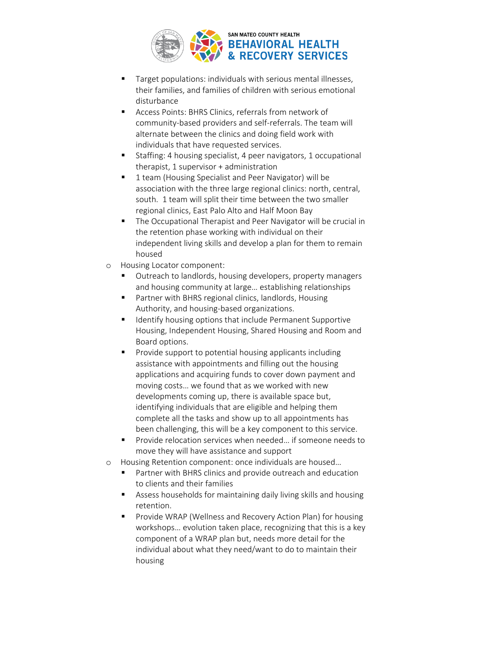

- Target populations: individuals with serious mental illnesses, their families, and families of children with serious emotional disturbance
- Access Points: BHRS Clinics, referrals from network of community-based providers and self-referrals. The team will alternate between the clinics and doing field work with individuals that have requested services.
- Staffing: 4 housing specialist, 4 peer navigators, 1 occupational therapist, 1 supervisor + administration
- 1 team (Housing Specialist and Peer Navigator) will be association with the three large regional clinics: north, central, south. 1 team will split their time between the two smaller regional clinics, East Palo Alto and Half Moon Bay
- The Occupational Therapist and Peer Navigator will be crucial in the retention phase working with individual on their independent living skills and develop a plan for them to remain housed
- o Housing Locator component:
	- Outreach to landlords, housing developers, property managers and housing community at large… establishing relationships
	- Partner with BHRS regional clinics, landlords, Housing Authority, and housing-based organizations.
	- Identify housing options that include Permanent Supportive Housing, Independent Housing, Shared Housing and Room and Board options.
	- Provide support to potential housing applicants including assistance with appointments and filling out the housing applications and acquiring funds to cover down payment and moving costs… we found that as we worked with new developments coming up, there is available space but, identifying individuals that are eligible and helping them complete all the tasks and show up to all appointments has been challenging, this will be a key component to this service.
	- Provide relocation services when needed... if someone needs to move they will have assistance and support
- o Housing Retention component: once individuals are housed…
	- Partner with BHRS clinics and provide outreach and education to clients and their families
	- Assess households for maintaining daily living skills and housing retention.
	- Provide WRAP (Wellness and Recovery Action Plan) for housing workshops… evolution taken place, recognizing that this is a key component of a WRAP plan but, needs more detail for the individual about what they need/want to do to maintain their housing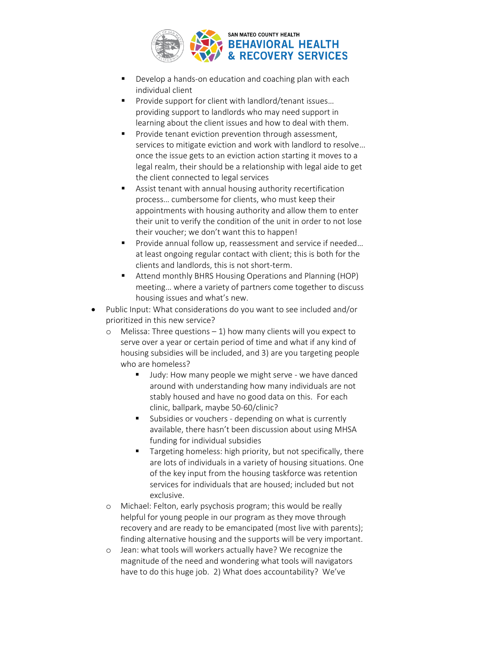

- Develop a hands-on education and coaching plan with each individual client
- Provide support for client with landlord/tenant issues... providing support to landlords who may need support in learning about the client issues and how to deal with them.
- Provide tenant eviction prevention through assessment, services to mitigate eviction and work with landlord to resolve… once the issue gets to an eviction action starting it moves to a legal realm, their should be a relationship with legal aide to get the client connected to legal services
- Assist tenant with annual housing authority recertification process… cumbersome for clients, who must keep their appointments with housing authority and allow them to enter their unit to verify the condition of the unit in order to not lose their voucher; we don't want this to happen!
- Provide annual follow up, reassessment and service if needed... at least ongoing regular contact with client; this is both for the clients and landlords, this is not short-term.
- Attend monthly BHRS Housing Operations and Planning (HOP) meeting… where a variety of partners come together to discuss housing issues and what's new.
- Public Input: What considerations do you want to see included and/or prioritized in this new service?
	- $\circ$  Melissa: Three questions 1) how many clients will you expect to serve over a year or certain period of time and what if any kind of housing subsidies will be included, and 3) are you targeting people who are homeless?
		- Judy: How many people we might serve we have danced around with understanding how many individuals are not stably housed and have no good data on this. For each clinic, ballpark, maybe 50-60/clinic?
		- Subsidies or vouchers depending on what is currently available, there hasn't been discussion about using MHSA funding for individual subsidies
		- Targeting homeless: high priority, but not specifically, there are lots of individuals in a variety of housing situations. One of the key input from the housing taskforce was retention services for individuals that are housed; included but not exclusive.
	- o Michael: Felton, early psychosis program; this would be really helpful for young people in our program as they move through recovery and are ready to be emancipated (most live with parents); finding alternative housing and the supports will be very important.
	- o Jean: what tools will workers actually have? We recognize the magnitude of the need and wondering what tools will navigators have to do this huge job. 2) What does accountability? We've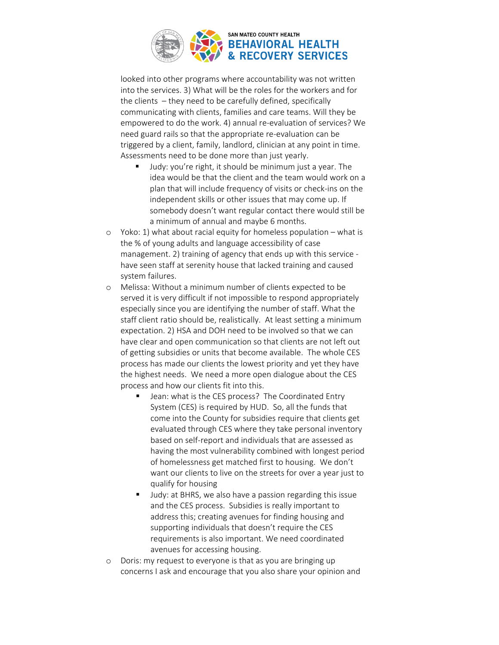

looked into other programs where accountability was not written into the services. 3) What will be the roles for the workers and for the clients – they need to be carefully defined, specifically communicating with clients, families and care teams. Will they be empowered to do the work. 4) annual re-evaluation of services? We need guard rails so that the appropriate re-evaluation can be triggered by a client, family, landlord, clinician at any point in time. Assessments need to be done more than just yearly.

- Judy: you're right, it should be minimum just a year. The idea would be that the client and the team would work on a plan that will include frequency of visits or check-ins on the independent skills or other issues that may come up. If somebody doesn't want regular contact there would still be a minimum of annual and maybe 6 months.
- o Yoko: 1) what about racial equity for homeless population what is the % of young adults and language accessibility of case management. 2) training of agency that ends up with this service have seen staff at serenity house that lacked training and caused system failures.
- o Melissa: Without a minimum number of clients expected to be served it is very difficult if not impossible to respond appropriately especially since you are identifying the number of staff. What the staff client ratio should be, realistically. At least setting a minimum expectation. 2) HSA and DOH need to be involved so that we can have clear and open communication so that clients are not left out of getting subsidies or units that become available. The whole CES process has made our clients the lowest priority and yet they have the highest needs. We need a more open dialogue about the CES process and how our clients fit into this.
	- Jean: what is the CES process? The Coordinated Entry System (CES) is required by HUD. So, all the funds that come into the County for subsidies require that clients get evaluated through CES where they take personal inventory based on self-report and individuals that are assessed as having the most vulnerability combined with longest period of homelessness get matched first to housing. We don't want our clients to live on the streets for over a year just to qualify for housing
	- Judy: at BHRS, we also have a passion regarding this issue and the CES process. Subsidies is really important to address this; creating avenues for finding housing and supporting individuals that doesn't require the CES requirements is also important. We need coordinated avenues for accessing housing.
- o Doris: my request to everyone is that as you are bringing up concerns I ask and encourage that you also share your opinion and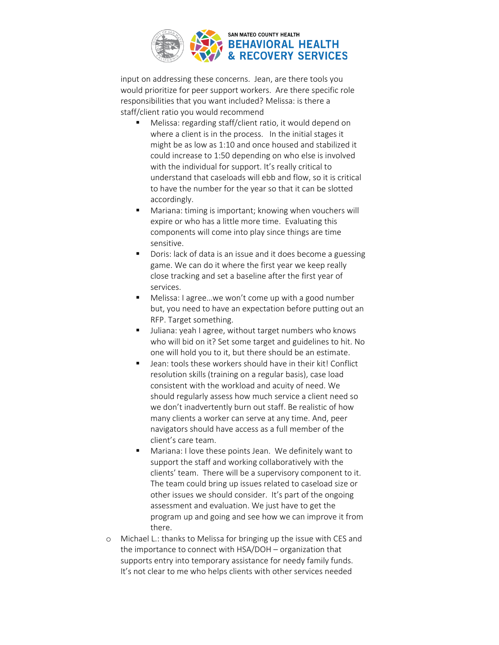

input on addressing these concerns. Jean, are there tools you would prioritize for peer support workers. Are there specific role responsibilities that you want included? Melissa: is there a staff/client ratio you would recommend

- Melissa: regarding staff/client ratio, it would depend on where a client is in the process. In the initial stages it might be as low as 1:10 and once housed and stabilized it could increase to 1:50 depending on who else is involved with the individual for support. It's really critical to understand that caseloads will ebb and flow, so it is critical to have the number for the year so that it can be slotted accordingly.
- Mariana: timing is important; knowing when vouchers will expire or who has a little more time. Evaluating this components will come into play since things are time sensitive.
- Doris: lack of data is an issue and it does become a guessing game. We can do it where the first year we keep really close tracking and set a baseline after the first year of services.
- Melissa: I agree...we won't come up with a good number but, you need to have an expectation before putting out an RFP. Target something.
- Juliana: yeah I agree, without target numbers who knows who will bid on it? Set some target and guidelines to hit. No one will hold you to it, but there should be an estimate.
- Jean: tools these workers should have in their kit! Conflict resolution skills (training on a regular basis), case load consistent with the workload and acuity of need. We should regularly assess how much service a client need so we don't inadvertently burn out staff. Be realistic of how many clients a worker can serve at any time. And, peer navigators should have access as a full member of the client's care team.
- Mariana: I love these points Jean. We definitely want to support the staff and working collaboratively with the clients' team. There will be a supervisory component to it. The team could bring up issues related to caseload size or other issues we should consider. It's part of the ongoing assessment and evaluation. We just have to get the program up and going and see how we can improve it from there.
- o Michael L.: thanks to Melissa for bringing up the issue with CES and the importance to connect with HSA/DOH – organization that supports entry into temporary assistance for needy family funds. It's not clear to me who helps clients with other services needed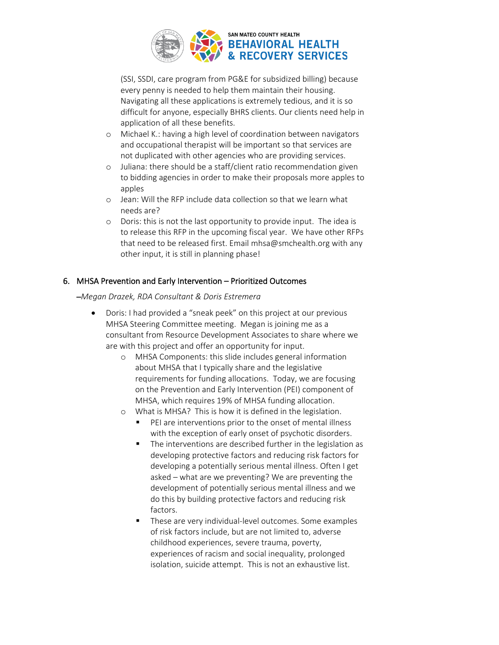

(SSI, SSDI, care program from PG&E for subsidized billing) because every penny is needed to help them maintain their housing. Navigating all these applications is extremely tedious, and it is so difficult for anyone, especially BHRS clients. Our clients need help in application of all these benefits.

- o Michael K.: having a high level of coordination between navigators and occupational therapist will be important so that services are not duplicated with other agencies who are providing services.
- o Juliana: there should be a staff/client ratio recommendation given to bidding agencies in order to make their proposals more apples to apples
- o Jean: Will the RFP include data collection so that we learn what needs are?
- o Doris: this is not the last opportunity to provide input. The idea is to release this RFP in the upcoming fiscal year. We have other RFPs that need to be released first. Email mhsa@smchealth.org with any other input, it is still in planning phase!

### 6. MHSA Prevention and Early Intervention – Prioritized Outcomes

### –*Megan Drazek, RDA Consultant & Doris Estremera*

- Doris: I had provided a "sneak peek" on this project at our previous MHSA Steering Committee meeting. Megan is joining me as a consultant from Resource Development Associates to share where we are with this project and offer an opportunity for input.
	- o MHSA Components: this slide includes general information about MHSA that I typically share and the legislative requirements for funding allocations. Today, we are focusing on the Prevention and Early Intervention (PEI) component of MHSA, which requires 19% of MHSA funding allocation.
	- o What is MHSA? This is how it is defined in the legislation.
		- PEI are interventions prior to the onset of mental illness with the exception of early onset of psychotic disorders.
		- The interventions are described further in the legislation as developing protective factors and reducing risk factors for developing a potentially serious mental illness. Often I get asked – what are we preventing? We are preventing the development of potentially serious mental illness and we do this by building protective factors and reducing risk factors.
		- These are very individual-level outcomes. Some examples of risk factors include, but are not limited to, adverse childhood experiences, severe trauma, poverty, experiences of racism and social inequality, prolonged isolation, suicide attempt. This is not an exhaustive list.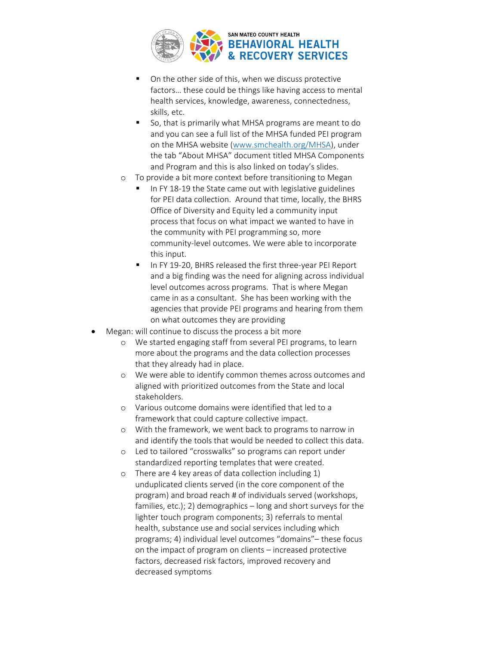

- On the other side of this, when we discuss protective factors… these could be things like having access to mental health services, knowledge, awareness, connectedness, skills, etc.
- So, that is primarily what MHSA programs are meant to do and you can see a full list of the MHSA funded PEI program on the MHSA website [\(www.smchealth.org/MHSA\)](http://www.smchealth.org/MHSA), under the tab "About MHSA" document titled MHSA Components and Program and this is also linked on today's slides.
- o To provide a bit more context before transitioning to Megan
	- In FY 18-19 the State came out with legislative guidelines for PEI data collection. Around that time, locally, the BHRS Office of Diversity and Equity led a community input process that focus on what impact we wanted to have in the community with PEI programming so, more community-level outcomes. We were able to incorporate this input.
	- In FY 19-20, BHRS released the first three-year PEI Report and a big finding was the need for aligning across individual level outcomes across programs. That is where Megan came in as a consultant. She has been working with the agencies that provide PEI programs and hearing from them on what outcomes they are providing
- Megan: will continue to discuss the process a bit more
	- o We started engaging staff from several PEI programs, to learn more about the programs and the data collection processes that they already had in place.
	- o We were able to identify common themes across outcomes and aligned with prioritized outcomes from the State and local stakeholders.
	- o Various outcome domains were identified that led to a framework that could capture collective impact.
	- o With the framework, we went back to programs to narrow in and identify the tools that would be needed to collect this data.
	- o Led to tailored "crosswalks" so programs can report under standardized reporting templates that were created.
	- o There are 4 key areas of data collection including 1) unduplicated clients served (in the core component of the program) and broad reach # of individuals served (workshops, families, etc.); 2) demographics – long and short surveys for the lighter touch program components; 3) referrals to mental health, substance use and social services including which programs; 4) individual level outcomes "domains"– these focus on the impact of program on clients – increased protective factors, decreased risk factors, improved recovery and decreased symptoms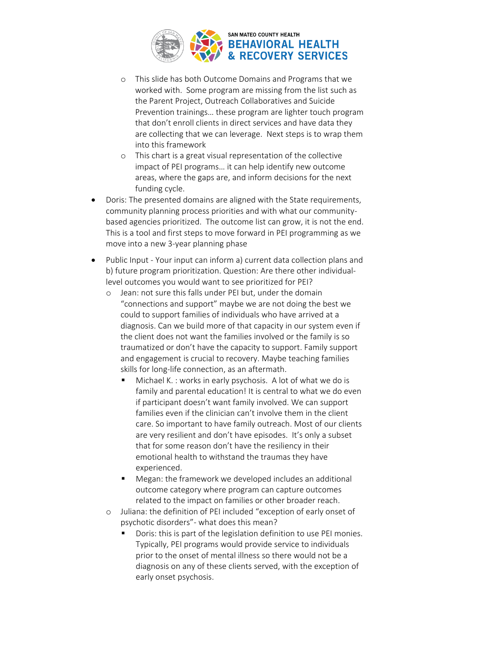

- o This slide has both Outcome Domains and Programs that we worked with. Some program are missing from the list such as the Parent Project, Outreach Collaboratives and Suicide Prevention trainings… these program are lighter touch program that don't enroll clients in direct services and have data they are collecting that we can leverage. Next steps is to wrap them into this framework
- o This chart is a great visual representation of the collective impact of PEI programs… it can help identify new outcome areas, where the gaps are, and inform decisions for the next funding cycle.
- Doris: The presented domains are aligned with the State requirements, community planning process priorities and with what our communitybased agencies prioritized. The outcome list can grow, it is not the end. This is a tool and first steps to move forward in PEI programming as we move into a new 3-year planning phase
- Public Input Your input can inform a) current data collection plans and b) future program prioritization. Question: Are there other individuallevel outcomes you would want to see prioritized for PEI?
	- o Jean: not sure this falls under PEI but, under the domain "connections and support" maybe we are not doing the best we could to support families of individuals who have arrived at a diagnosis. Can we build more of that capacity in our system even if the client does not want the families involved or the family is so traumatized or don't have the capacity to support. Family support and engagement is crucial to recovery. Maybe teaching families skills for long-life connection, as an aftermath.
		- Michael K.: works in early psychosis. A lot of what we do is family and parental education! It is central to what we do even if participant doesn't want family involved. We can support families even if the clinician can't involve them in the client care. So important to have family outreach. Most of our clients are very resilient and don't have episodes. It's only a subset that for some reason don't have the resiliency in their emotional health to withstand the traumas they have experienced.
		- Megan: the framework we developed includes an additional outcome category where program can capture outcomes related to the impact on families or other broader reach.
	- o Juliana: the definition of PEI included "exception of early onset of psychotic disorders"- what does this mean?
		- Doris: this is part of the legislation definition to use PEI monies. Typically, PEI programs would provide service to individuals prior to the onset of mental illness so there would not be a diagnosis on any of these clients served, with the exception of early onset psychosis.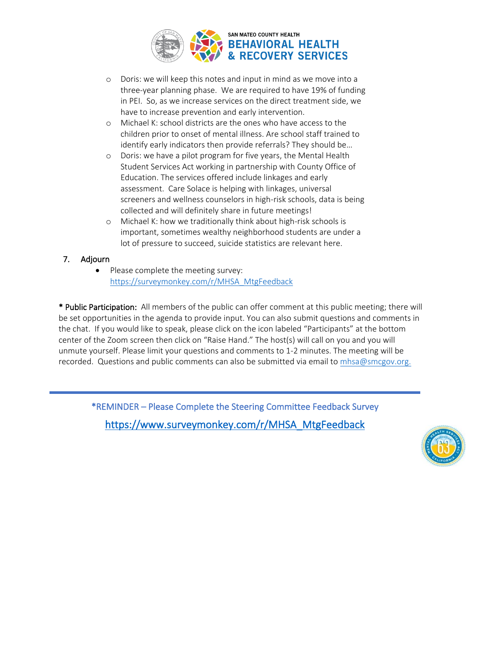

- o Doris: we will keep this notes and input in mind as we move into a three-year planning phase. We are required to have 19% of funding in PEI. So, as we increase services on the direct treatment side, we have to increase prevention and early intervention.
- o Michael K: school districts are the ones who have access to the children prior to onset of mental illness. Are school staff trained to identify early indicators then provide referrals? They should be…
- o Doris: we have a pilot program for five years, the Mental Health Student Services Act working in partnership with County Office of Education. The services offered include linkages and early assessment. Care Solace is helping with linkages, universal screeners and wellness counselors in high-risk schools, data is being collected and will definitely share in future meetings!
- o Michael K: how we traditionally think about high-risk schools is important, sometimes wealthy neighborhood students are under a lot of pressure to succeed, suicide statistics are relevant here.

### 7. Adjourn

• Please complete the meeting survey: [https://surveymonkey.com/r/MHSA\\_MtgFeedback](https://surveymonkey.com/r/MHSA_MtgFeedback)

\* Public Participation: All members of the public can offer comment at this public meeting; there will be set opportunities in the agenda to provide input. You can also submit questions and comments in the chat. If you would like to speak, please click on the icon labeled "Participants" at the bottom center of the Zoom screen then click on "Raise Hand." The host(s) will call on you and you will unmute yourself. Please limit your questions and comments to 1-2 minutes. The meeting will be recorded. Questions and public comments can also be submitted via email to [mhsa@smcgov.org.](mailto:mhsa@smcgov.org)

\*REMINDER – Please Complete the Steering Committee Feedback Survey [https://www.surveymonkey.com/r/MHSA\\_MtgFeedback](https://www.surveymonkey.com/r/MHSA_MtgFeedback)